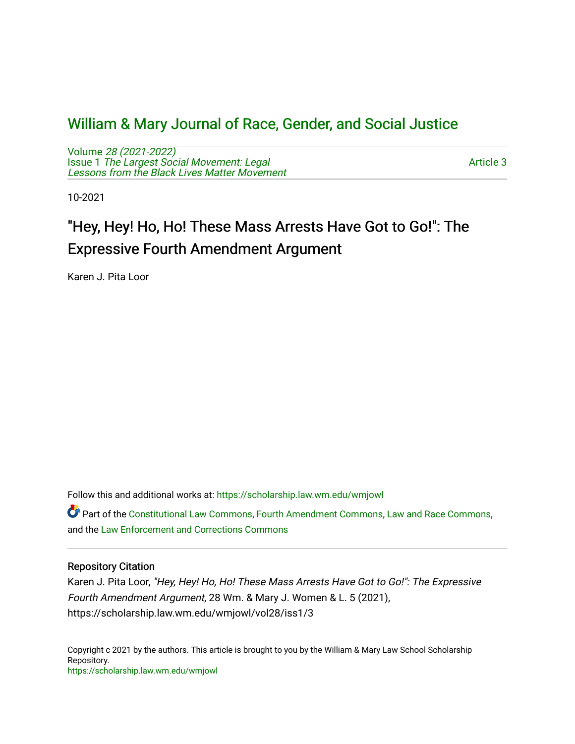# [William & Mary Journal of Race, Gender, and Social Justice](https://scholarship.law.wm.edu/wmjowl)

Volume [28 \(2021-2022\)](https://scholarship.law.wm.edu/wmjowl/vol28)  Issue 1 [The Largest Social Movement: Legal](https://scholarship.law.wm.edu/wmjowl/vol28/iss1) [Lessons from the Black Lives Matter Movement](https://scholarship.law.wm.edu/wmjowl/vol28/iss1) 

[Article 3](https://scholarship.law.wm.edu/wmjowl/vol28/iss1/3) 

10-2021

# "Hey, Hey! Ho, Ho! These Mass Arrests Have Got to Go!": The Expressive Fourth Amendment Argument

Karen J. Pita Loor

Follow this and additional works at: [https://scholarship.law.wm.edu/wmjowl](https://scholarship.law.wm.edu/wmjowl?utm_source=scholarship.law.wm.edu%2Fwmjowl%2Fvol28%2Fiss1%2F3&utm_medium=PDF&utm_campaign=PDFCoverPages) 

Part of the [Constitutional Law Commons,](http://network.bepress.com/hgg/discipline/589?utm_source=scholarship.law.wm.edu%2Fwmjowl%2Fvol28%2Fiss1%2F3&utm_medium=PDF&utm_campaign=PDFCoverPages) [Fourth Amendment Commons,](http://network.bepress.com/hgg/discipline/1180?utm_source=scholarship.law.wm.edu%2Fwmjowl%2Fvol28%2Fiss1%2F3&utm_medium=PDF&utm_campaign=PDFCoverPages) [Law and Race Commons,](http://network.bepress.com/hgg/discipline/1300?utm_source=scholarship.law.wm.edu%2Fwmjowl%2Fvol28%2Fiss1%2F3&utm_medium=PDF&utm_campaign=PDFCoverPages) and the [Law Enforcement and Corrections Commons](http://network.bepress.com/hgg/discipline/854?utm_source=scholarship.law.wm.edu%2Fwmjowl%2Fvol28%2Fiss1%2F3&utm_medium=PDF&utm_campaign=PDFCoverPages)

# Repository Citation

Karen J. Pita Loor, "Hey, Hey! Ho, Ho! These Mass Arrests Have Got to Go!": The Expressive Fourth Amendment Argument, 28 Wm. & Mary J. Women & L. 5 (2021), https://scholarship.law.wm.edu/wmjowl/vol28/iss1/3

Copyright c 2021 by the authors. This article is brought to you by the William & Mary Law School Scholarship Repository. <https://scholarship.law.wm.edu/wmjowl>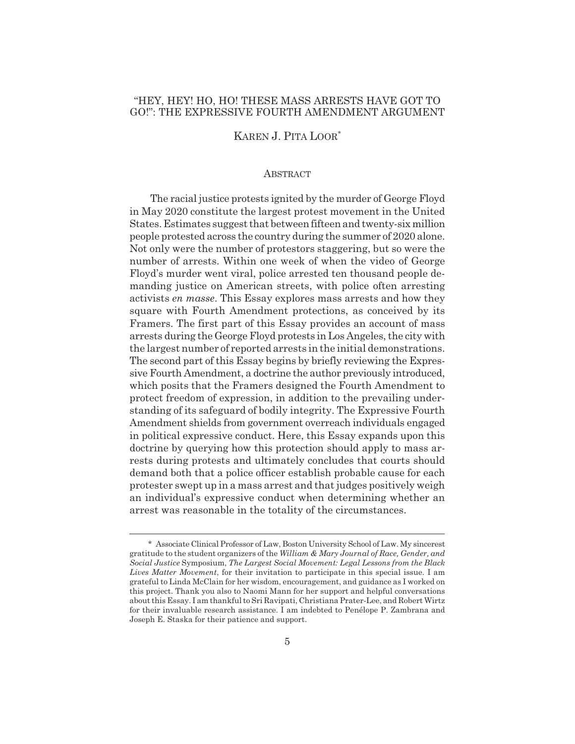## "HEY, HEY! HO, HO! THESE MASS ARRESTS HAVE GOT TO GO!": THE EXPRESSIVE FOURTH AMENDMENT ARGUMENT

# KAREN J. PITA LOOR\*

#### **ABSTRACT**

The racial justice protests ignited by the murder of George Floyd in May 2020 constitute the largest protest movement in the United States. Estimates suggest that between fifteen and twenty-six million people protested across the country during the summer of 2020 alone. Not only were the number of protestors staggering, but so were the number of arrests. Within one week of when the video of George Floyd's murder went viral, police arrested ten thousand people demanding justice on American streets, with police often arresting activists *en masse*. This Essay explores mass arrests and how they square with Fourth Amendment protections, as conceived by its Framers. The first part of this Essay provides an account of mass arrests during the George Floyd protests in Los Angeles, the city with the largest number of reported arrests in the initial demonstrations. The second part of this Essay begins by briefly reviewing the Expressive Fourth Amendment, a doctrine the author previously introduced, which posits that the Framers designed the Fourth Amendment to protect freedom of expression, in addition to the prevailing understanding of its safeguard of bodily integrity. The Expressive Fourth Amendment shields from government overreach individuals engaged in political expressive conduct. Here, this Essay expands upon this doctrine by querying how this protection should apply to mass arrests during protests and ultimately concludes that courts should demand both that a police officer establish probable cause for each protester swept up in a mass arrest and that judges positively weigh an individual's expressive conduct when determining whether an arrest was reasonable in the totality of the circumstances.

<sup>\*</sup> Associate Clinical Professor of Law, Boston University School of Law. My sincerest gratitude to the student organizers of the *William & Mary Journal of Race, Gender, and Social Justice* Symposium, *The Largest Social Movement: Legal Lessons from the Black Lives Matter Movement*, for their invitation to participate in this special issue. I am grateful to Linda McClain for her wisdom, encouragement, and guidance as I worked on this project. Thank you also to Naomi Mann for her support and helpful conversations about this Essay. I am thankful to Sri Ravipati, Christiana Prater-Lee, and Robert Wirtz for their invaluable research assistance. I am indebted to Penélope P. Zambrana and Joseph E. Staska for their patience and support.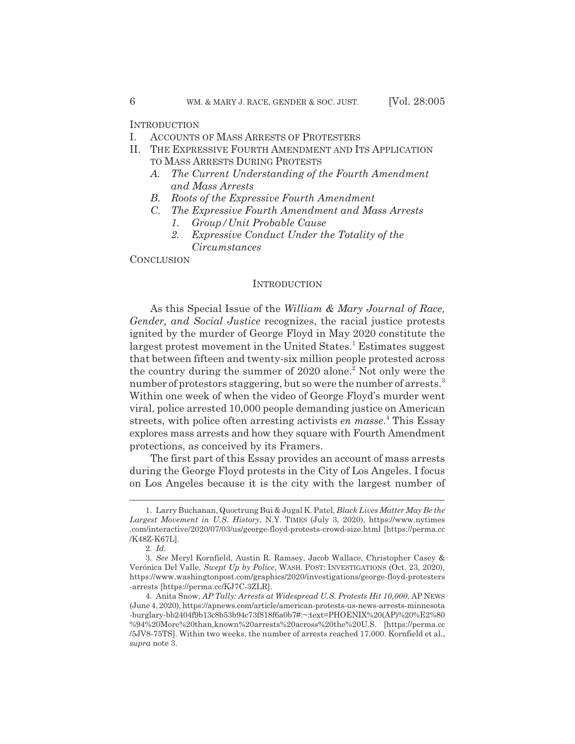**INTRODUCTION** 

- I. ACCOUNTS OF MASS ARRESTS OF PROTESTERS
- II. THE EXPRESSIVE FOURTH AMENDMENT AND ITS APPLICATION TO MASS ARRESTS DURING PROTESTS
	- *A. The Current Understanding of the Fourth Amendment and Mass Arrests*
	- *B. Roots of the Expressive Fourth Amendment*
	- *C. The Expressive Fourth Amendment and Mass Arrests*
		- *1. Group/Unit Probable Cause*
		- *2. Expressive Conduct Under the Totality of the Circumstances*

**CONCLUSION** 

#### **INTRODUCTION**

As this Special Issue of the *William & Mary Journal of Race, Gender, and Social Justice* recognizes, the racial justice protests ignited by the murder of George Floyd in May 2020 constitute the largest protest movement in the United States.<sup>1</sup> Estimates suggest that between fifteen and twenty-six million people protested across the country during the summer of 2020 alone.<sup>2</sup> Not only were the number of protestors staggering, but so were the number of arrests.<sup>3</sup> Within one week of when the video of George Floyd's murder went viral, police arrested 10,000 people demanding justice on American streets, with police often arresting activists *en masse*. 4 This Essay explores mass arrests and how they square with Fourth Amendment protections, as conceived by its Framers.

The first part of this Essay provides an account of mass arrests during the George Floyd protests in the City of Los Angeles. I focus on Los Angeles because it is the city with the largest number of

<sup>1.</sup> Larry Buchanan, Quoctrung Bui & Jugal K. Patel, *Black Lives Matter May Be the Largest Movement in U.S. History*, N.Y. TIMES (July 3, 2020), https://www.nytimes .com/interactive/2020/07/03/us/george-floyd-protests-crowd-size.html [https://perma.cc /K48Z-K67L].

<sup>2.</sup> *Id.*

<sup>3.</sup> *See* Meryl Kornfield, Austin R. Ramsey, Jacob Wallace, Christopher Casey & Verónica Del Valle, *Swept Up by Police*, WASH. POST: INVESTIGATIONS (Oct. 23, 2020), https://www.washingtonpost.com/graphics/2020/investigations/george-floyd-protesters -arrests [https://perma.cc/KJ7C-3ZLR].

<sup>4.</sup> Anita Snow, *AP Tally: Arrests at Widespread U.S. Protests Hit 10,000*, AP NEWS (June 4, 2020), https://apnews.com/article/american-protests-us-news-arrests-minnesota -burglary-bb2404f9b13c8b53b94c73f818f6a0b7#:~:text=PHOENIX%20(AP)%20%E2%80 %94%20More%20than,known%20arrests%20across%20the%20U.S. [https://perma.cc /5JV8-75TS]. Within two weeks, the number of arrests reached 17,000. Kornfield et al., *supra* note 3.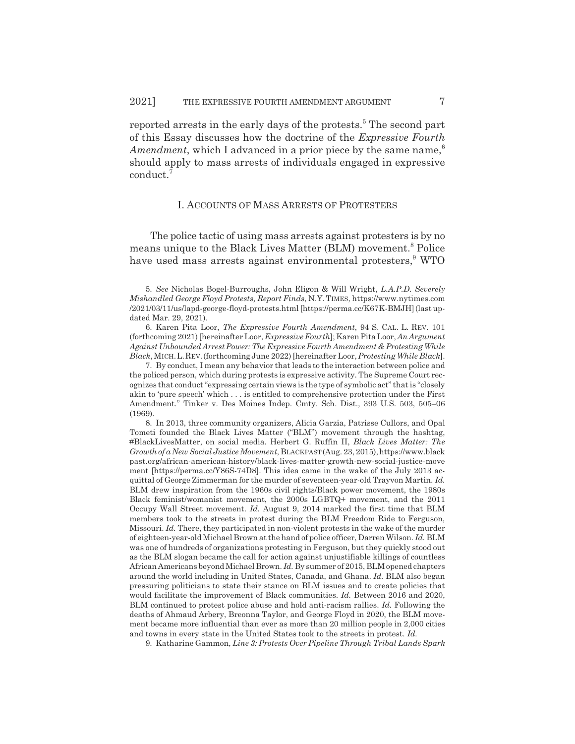reported arrests in the early days of the protests.<sup>5</sup> The second part of this Essay discusses how the doctrine of the *Expressive Fourth Amendment*, which I advanced in a prior piece by the same name,<sup>6</sup> should apply to mass arrests of individuals engaged in expressive conduct.<sup>7</sup>

#### I. ACCOUNTS OF MASS ARRESTS OF PROTESTERS

The police tactic of using mass arrests against protesters is by no means unique to the Black Lives Matter (BLM) movement.<sup>8</sup> Police have used mass arrests against environmental protesters,<sup>9</sup> WTO

7. By conduct, I mean any behavior that leads to the interaction between police and the policed person, which during protests is expressive activity. The Supreme Court recognizes that conduct "expressing certain views is the type of symbolic act" that is "closely akin to 'pure speech' which . . . is entitled to comprehensive protection under the First Amendment." Tinker v. Des Moines Indep. Cmty. Sch. Dist., 393 U.S. 503, 505–06 (1969).

8. In 2013, three community organizers, Alicia Garzia, Patrisse Cullors, and Opal Tometi founded the Black Lives Matter ("BLM") movement through the hashtag, #BlackLivesMatter, on social media. Herbert G. Ruffin II, *Black Lives Matter: The Growth of a New Social Justice Movement*, BLACKPAST(Aug. 23, 2015),https://www.black past.org/african-american-history/black-lives-matter-growth-new-social-justice-move ment [https://perma.cc/Y86S-74D8]. This idea came in the wake of the July 2013 acquittal of George Zimmerman for the murder of seventeen-year-old Trayvon Martin. *Id.* BLM drew inspiration from the 1960s civil rights/Black power movement, the 1980s Black feminist/womanist movement, the 2000s LGBTQ+ movement, and the 2011 Occupy Wall Street movement. *Id.* August 9, 2014 marked the first time that BLM members took to the streets in protest during the BLM Freedom Ride to Ferguson, Missouri. *Id.* There, they participated in non-violent protests in the wake of the murder of eighteen-year-old Michael Brown at the hand of police officer, Darren Wilson. *Id.* BLM was one of hundreds of organizations protesting in Ferguson, but they quickly stood out as the BLM slogan became the call for action against unjustifiable killings of countless African Americans beyond Michael Brown. *Id.* By summer of 2015, BLM opened chapters around the world including in United States, Canada, and Ghana. *Id.* BLM also began pressuring politicians to state their stance on BLM issues and to create policies that would facilitate the improvement of Black communities. *Id.* Between 2016 and 2020, BLM continued to protest police abuse and hold anti-racism rallies. *Id.* Following the deaths of Ahmaud Arbery, Breonna Taylor, and George Floyd in 2020, the BLM movement became more influential than ever as more than 20 million people in 2,000 cities and towns in every state in the United States took to the streets in protest. *Id.*

9. Katharine Gammon, *Line 3: Protests Over Pipeline Through Tribal Lands Spark*

<sup>5.</sup> *See* Nicholas Bogel-Burroughs, John Eligon & Will Wright, *L.A.P.D. Severely Mishandled George Floyd Protests, Report Finds*, N.Y. TIMES, https://www.nytimes.com /2021/03/11/us/lapd-george-floyd-protests.html [https://perma.cc/K67K-BMJH](last updated Mar. 29, 2021).

<sup>6.</sup> Karen Pita Loor, *The Expressive Fourth Amendment*, 94 S. CAL. L. REV. 101 (forthcoming 2021) [hereinafter Loor, *Expressive Fourth*]; Karen Pita Loor, *An Argument Against Unbounded Arrest Power: The Expressive Fourth Amendment & Protesting While Black*, MICH.L.REV.(forthcoming June 2022) [hereinafter Loor, *Protesting While Black*].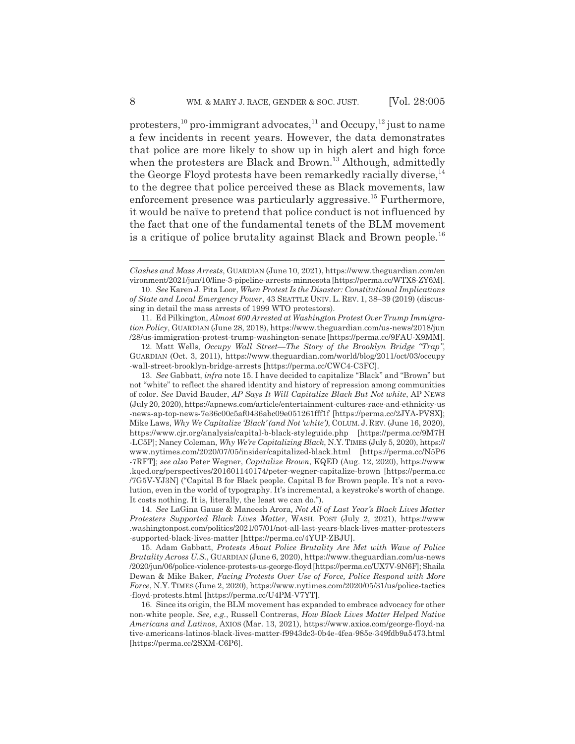protesters,<sup>10</sup> pro-immigrant advocates,<sup>11</sup> and Occupy,<sup>12</sup> just to name a few incidents in recent years. However, the data demonstrates that police are more likely to show up in high alert and high force when the protesters are Black and Brown.<sup>13</sup> Although, admittedly the George Floyd protests have been remarkedly racially diverse,  $14$ to the degree that police perceived these as Black movements, law enforcement presence was particularly aggressive.<sup>15</sup> Furthermore, it would be naïve to pretend that police conduct is not influenced by the fact that one of the fundamental tenets of the BLM movement is a critique of police brutality against Black and Brown people.<sup>16</sup>

11. Ed Pilkington, *Almost 600 Arrested at Washington Protest Over Trump Immigration Policy*, GUARDIAN (June 28, 2018), https://www.theguardian.com/us-news/2018/jun /28/us-immigration-protest-trump-washington-senate [https://perma.cc/9FAU-X9MM].

12. Matt Wells, *Occupy Wall Street—The Story of the Brooklyn Bridge "Trap"*, GUARDIAN (Oct. 3, 2011), https://www.theguardian.com/world/blog/2011/oct/03/occupy -wall-street-brooklyn-bridge-arrests [https://perma.cc/CWC4-C3FC].

13. *See* Gabbatt, *infra* note 15. I have decided to capitalize "Black" and "Brown" but not "white" to reflect the shared identity and history of repression among communities of color. *See* David Bauder, *AP Says It Will Capitalize Black But Not white*, AP NEWS (July 20, 2020), https://apnews.com/article/entertainment-cultures-race-and-ethnicity-us -news-ap-top-news-7e36c00c5af0436abc09e051261fff1f [https://perma.cc/2JYA-PVSX]; Mike Laws, *Why We Capitalize 'Black' (and Not 'white')*, COLUM. J. REV. (June 16, 2020), https://www.cjr.org/analysis/capital-b-black-styleguide.php [https://perma.cc/9M7H -LC5P]; Nancy Coleman, *Why We're Capitalizing Black*, N.Y. TIMES (July 5, 2020), https:// www.nytimes.com/2020/07/05/insider/capitalized-black.html [https://perma.cc/N5P6 -7RFT]; *see also* Peter Wegner, *Capitalize Brown*, KQED (Aug. 12, 2020), https://www .kqed.org/perspectives/201601140174/peter-wegner-capitalize-brown [https://perma.cc /7G5V-YJ3N] ("Capital B for Black people. Capital B for Brown people. It's not a revolution, even in the world of typography. It's incremental, a keystroke's worth of change. It costs nothing. It is, literally, the least we can do.").

14. *See* LaGina Gause & Maneesh Arora*, Not All of Last Year's Black Lives Matter Protesters Supported Black Lives Matter*, WASH. POST (July 2, 2021), https://www .washingtonpost.com/politics/2021/07/01/not-all-last-years-black-lives-matter-protesters -supported-black-lives-matter [https://perma.cc/4YUP-ZBJU].

15. Adam Gabbatt, *Protests About Police Brutality Are Met with Wave of Police Brutality Across U.S.*, GUARDIAN (June 6, 2020), https://www.theguardian.com/us-news /2020/jun/06/police-violence-protests-us-george-floyd [https://perma.cc/UX7V-9N6F]; Shaila Dewan & Mike Baker, *Facing Protests Over Use of Force, Police Respond with More Force*, N.Y. TIMES (June 2, 2020), https://www.nytimes.com/2020/05/31/us/police-tactics -floyd-protests.html [https://perma.cc/U4PM-V7YT].

16. Since its origin, the BLM movement has expanded to embrace advocacy for other non-white people. *See, e.g.*, Russell Contreras, *How Black Lives Matter Helped Native Americans and Latinos*, AXIOS (Mar. 13, 2021), https://www.axios.com/george-floyd-na tive-americans-latinos-black-lives-matter-f9943dc3-0b4e-4fea-985e-349fdb9a5473.html [https://perma.cc/2SXM-C6P6].

*Clashes and Mass Arrests*, GUARDIAN (June 10, 2021), https://www.theguardian.com/en vironment/2021/jun/10/line-3-pipeline-arrests-minnesota [https://perma.cc/WTX8-ZY6M].

<sup>10.</sup> *See* Karen J. Pita Loor, *When Protest Is the Disaster: Constitutional Implications of State and Local Emergency Power*, 43 SEATTLE UNIV. L. REV. 1, 38–39 (2019) (discussing in detail the mass arrests of 1999 WTO protestors).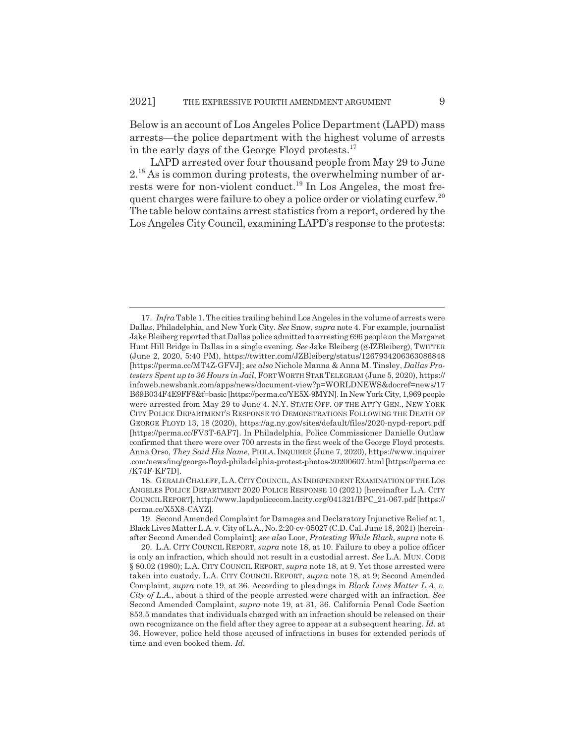Below is an account of Los Angeles Police Department (LAPD) mass arrests*—*the police department with the highest volume of arrests in the early days of the George Floyd protests.<sup>17</sup>

LAPD arrested over four thousand people from May 29 to June 2.18 As is common during protests, the overwhelming number of arrests were for non-violent conduct.<sup>19</sup> In Los Angeles, the most frequent charges were failure to obey a police order or violating curfew.<sup>20</sup> The table below contains arrest statistics from a report, ordered by the Los Angeles City Council, examining LAPD's response to the protests:

18. GERALD CHALEFF,L.A.CITYCOUNCIL,AN INDEPENDENTEXAMINATION OF THE LOS ANGELES POLICE DEPARTMENT 2020 POLICE RESPONSE 10 (2021) [hereinafter L.A. CITY COUNCILREPORT],http://www.lapdpolicecom.lacity.org/041321/BPC\_21-067.pdf [https:// perma.cc/X5X8-CAYZ].

19. Second Amended Complaint for Damages and Declaratory Injunctive Relief at 1, Black Lives Matter L.A. v. City of L.A., No. 2:20-cv-05027 (C.D. Cal. June 18, 2021) [hereinafter Second Amended Complaint]; *see also* Loor, *Protesting While Black*, *supra* note 6.

<sup>17.</sup> *Infra* Table 1. The cities trailing behind Los Angeles in the volume of arrests were Dallas, Philadelphia, and New York City. *See* Snow, *supra* note 4. For example, journalist Jake Bleiberg reported that Dallas police admitted to arresting 696 people on the Margaret Hunt Hill Bridge in Dallas in a single evening. *See* Jake Bleiberg (@JZBleiberg), TWITTER (June 2, 2020, 5:40 PM), https://twitter.com/JZBleiberg/status/1267934206363086848 [https://perma.cc/MT4Z-GFVJ]; *see also* Nichole Manna & Anna M. Tinsley, *Dallas Protesters Spent up to 36 Hours in Jail*, FORTWORTH STAR TELEGRAM (June 5, 2020), https:// infoweb.newsbank.com/apps/news/document-view?p=WORLDNEWS&docref=news/17 B69B034F4E9FF8&f=basic [https://perma.cc/YE5X-9MYN]. In New York City, 1,969 people were arrested from May 29 to June 4. N.Y. STATE OFF. OF THE ATT'Y GEN., NEW YORK CITY POLICE DEPARTMENT'S RESPONSE TO DEMONSTRATIONS FOLLOWING THE DEATH OF GEORGE FLOYD 13, 18 (2020), https://ag.ny.gov/sites/default/files/2020-nypd-report.pdf [https://perma.cc/FV3T-6AF7]. In Philadelphia, Police Commissioner Danielle Outlaw confirmed that there were over 700 arrests in the first week of the George Floyd protests. Anna Orso, *They Said His Name*, PHILA. INQUIRER (June 7, 2020), https://www.inquirer .com/news/inq/george-floyd-philadelphia-protest-photos-20200607.html [https://perma.cc /K74F-KF7D].

<sup>20.</sup> L.A. CITY COUNCIL REPORT, *supra* note 18, at 10. Failure to obey a police officer is only an infraction, which should not result in a custodial arrest. *See* L.A. MUN. CODE § 80.02 (1980); L.A. CITY COUNCIL REPORT, *supra* note 18, at 9. Yet those arrested were taken into custody. L.A. CITY COUNCIL REPORT, *supra* note 18, at 9; Second Amended Complaint, *supra* note 19, at 36. According to pleadings in *Black Lives Matter L.A. v. City of L.A.*, about a third of the people arrested were charged with an infraction. *See* Second Amended Complaint, *supra* note 19, at 31, 36. California Penal Code Section 853.5 mandates that individuals charged with an infraction should be released on their own recognizance on the field after they agree to appear at a subsequent hearing. *Id.* at 36. However, police held those accused of infractions in buses for extended periods of time and even booked them. *Id.*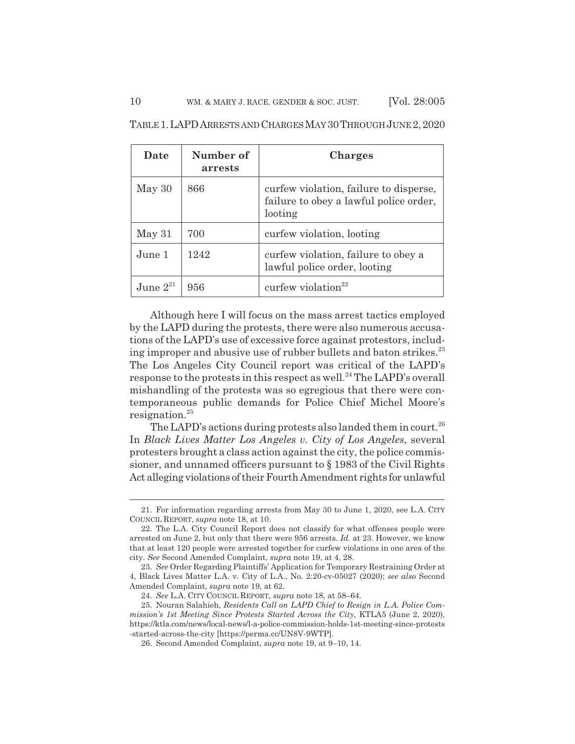| Date          | Number of<br>arrests | <b>Charges</b>                                                                              |
|---------------|----------------------|---------------------------------------------------------------------------------------------|
| May 30        | 866                  | curfew violation, failure to disperse,<br>failure to obey a lawful police order,<br>looting |
| May 31        | 700                  | curfew violation, looting                                                                   |
| June 1        | 1242                 | curfew violation, failure to obey a<br>lawful police order, looting                         |
| June $2^{21}$ | 956                  | curfew violation $22$                                                                       |

TABLE 1.LAPDARRESTS AND CHARGES MAY 30THROUGH JUNE 2,2020

Although here I will focus on the mass arrest tactics employed by the LAPD during the protests, there were also numerous accusations of the LAPD's use of excessive force against protestors, including improper and abusive use of rubber bullets and baton strikes.<sup>23</sup> The Los Angeles City Council report was critical of the LAPD's response to the protests in this respect as well.<sup>24</sup> The LAPD's overall mishandling of the protests was so egregious that there were contemporaneous public demands for Police Chief Michel Moore's resignation.<sup>25</sup>

The LAPD's actions during protests also landed them in court.<sup>26</sup> In *Black Lives Matter Los Angeles v. City of Los Angeles*, several protesters brought a class action against the city, the police commissioner, and unnamed officers pursuant to § 1983 of the Civil Rights Act alleging violations of their Fourth Amendment rights for unlawful

<sup>21.</sup> For information regarding arrests from May 30 to June 1, 2020, see L.A. CITY COUNCIL REPORT, *supra* note 18, at 10.

<sup>22.</sup> The L.A. City Council Report does not classify for what offenses people were arrested on June 2, but only that there were 956 arrests. *Id.* at 23. However, we know that at least 120 people were arrested together for curfew violations in one area of the city. *See* Second Amended Complaint, *supra* note 19, at 4, 28.

<sup>23.</sup> *See* Order Regarding Plaintiffs' Application for Temporary Restraining Order at 4, Black Lives Matter L.A. v. City of L.A., No. 2:20-cv-05027 (2020); *see also* Second Amended Complaint, *supra* note 19, at 62.

<sup>24.</sup> *See* L.A. CITY COUNCIL REPORT, *supra* note 18, at 58–64.

<sup>25.</sup> Nouran Salahieh, *Residents Call on LAPD Chief to Resign in L.A. Police Commission's 1st Meeting Since Protests Started Across the City*, KTLA5 (June 2, 2020), https://ktla.com/news/local-news/l-a-police-commission-holds-1st-meeting-since-protests -started-across-the-city [https://perma.cc/UN8V-9WTP].

<sup>26.</sup> Second Amended Complaint, *supra* note 19, at 9–10, 14.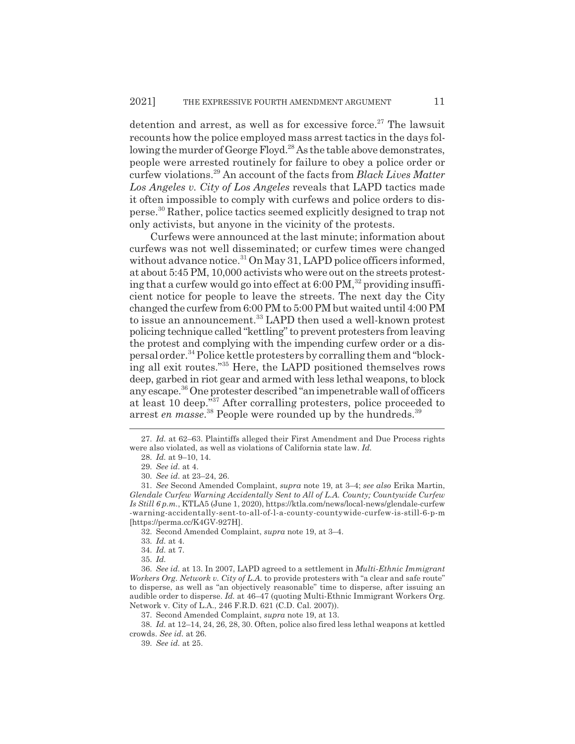detention and arrest, as well as for excessive force. $27$  The lawsuit recounts how the police employed mass arrest tactics in the days following the murder of George Floyd.<sup>28</sup> As the table above demonstrates, people were arrested routinely for failure to obey a police order or curfew violations.29 An account of the facts from *Black Lives Matter Los Angeles v. City of Los Angeles* reveals that LAPD tactics made it often impossible to comply with curfews and police orders to disperse.30 Rather, police tactics seemed explicitly designed to trap not only activists, but anyone in the vicinity of the protests.

Curfews were announced at the last minute; information about curfews was not well disseminated; or curfew times were changed without advance notice.<sup>31</sup> On May 31, LAPD police officers informed, at about 5:45 PM, 10,000 activists who were out on the streets protesting that a curfew would go into effect at  $6:00 \text{ PM}$ ,<sup>32</sup> providing insufficient notice for people to leave the streets. The next day the City changed the curfew from 6:00 PM to 5:00 PM but waited until 4:00 PM to issue an announcement.<sup>33</sup> LAPD then used a well-known protest policing technique called "kettling" to prevent protesters from leaving the protest and complying with the impending curfew order or a dispersal order.34 Police kettle protesters by corralling them and "blocking all exit routes."35 Here, the LAPD positioned themselves rows deep, garbed in riot gear and armed with less lethal weapons, to block any escape.36 One protester described "an impenetrable wall of officers at least 10 deep."<sup>37</sup> After corralling protesters, police proceeded to arrest *en masse*.<sup>38</sup> People were rounded up by the hundreds.<sup>39</sup>

37. Second Amended Complaint, *supra* note 19, at 13.

38. *Id.* at 12–14, 24, 26, 28, 30. Often, police also fired less lethal weapons at kettled crowds. *See id.* at 26.

39. *See id.* at 25.

<sup>27.</sup> *Id.* at 62–63. Plaintiffs alleged their First Amendment and Due Process rights were also violated, as well as violations of California state law. *Id.*

<sup>28.</sup> *Id.* at 9–10, 14.

<sup>29.</sup> *See id.* at 4.

<sup>30.</sup> *See id.* at 23–24, 26.

<sup>31.</sup> *See* Second Amended Complaint, *supra* note 19, at 3–4; *see also* Erika Martin, *Glendale Curfew Warning Accidentally Sent to All of L.A. County; Countywide Curfew Is Still 6 p.m.*, KTLA5 (June 1, 2020), https://ktla.com/news/local-news/glendale-curfew -warning-accidentally-sent-to-all-of-l-a-county-countywide-curfew-is-still-6-p-m [https://perma.cc/K4GV-927H].

<sup>32.</sup> Second Amended Complaint, *supra* note 19, at 3–4.

<sup>33.</sup> *Id.* at 4.

<sup>34.</sup> *Id.* at 7.

<sup>35.</sup> *Id.*

<sup>36.</sup> *See id.* at 13. In 2007, LAPD agreed to a settlement in *Multi-Ethnic Immigrant Workers Org. Network v. City of L.A.* to provide protesters with "a clear and safe route" to disperse, as well as "an objectively reasonable" time to disperse, after issuing an audible order to disperse. *Id.* at 46–47 (quoting Multi-Ethnic Immigrant Workers Org. Network v. City of L.A., 246 F.R.D. 621 (C.D. Cal. 2007)).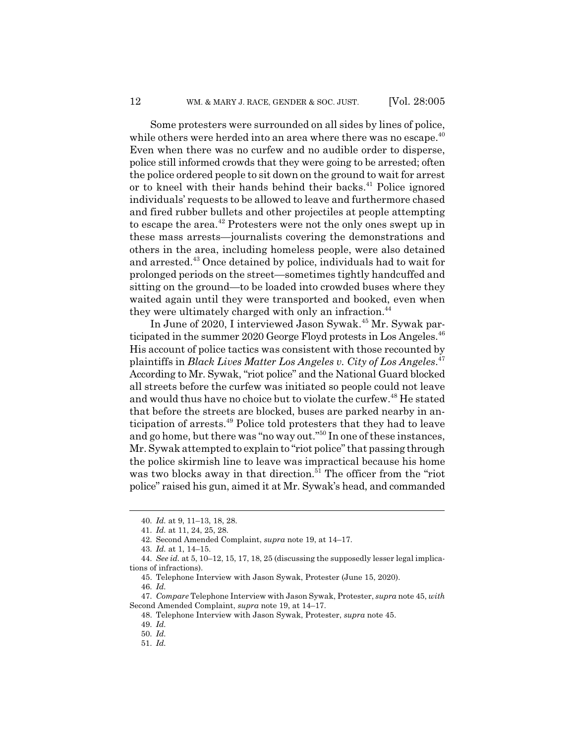Some protesters were surrounded on all sides by lines of police, while others were herded into an area where there was no escape. $40$ Even when there was no curfew and no audible order to disperse, police still informed crowds that they were going to be arrested; often the police ordered people to sit down on the ground to wait for arrest or to kneel with their hands behind their backs. $41$  Police ignored individuals' requests to be allowed to leave and furthermore chased and fired rubber bullets and other projectiles at people attempting to escape the area.<sup>42</sup> Protesters were not the only ones swept up in these mass arrests*—*journalists covering the demonstrations and others in the area, including homeless people, were also detained and arrested.<sup>43</sup> Once detained by police, individuals had to wait for prolonged periods on the street*—*sometimes tightly handcuffed and sitting on the ground*—*to be loaded into crowded buses where they waited again until they were transported and booked, even when they were ultimately charged with only an infraction.<sup>44</sup>

In June of 2020, I interviewed Jason Sywak.45 Mr. Sywak participated in the summer 2020 George Floyd protests in Los Angeles.<sup>46</sup> His account of police tactics was consistent with those recounted by plaintiffs in *Black Lives Matter Los Angeles v. City of Los Angeles*. 47 According to Mr. Sywak, "riot police" and the National Guard blocked all streets before the curfew was initiated so people could not leave and would thus have no choice but to violate the curfew.<sup>48</sup> He stated that before the streets are blocked, buses are parked nearby in anticipation of arrests.<sup>49</sup> Police told protesters that they had to leave and go home, but there was "no way out."50 In one of these instances, Mr. Sywak attempted to explain to "riot police" that passing through the police skirmish line to leave was impractical because his home was two blocks away in that direction.<sup>51</sup> The officer from the "riot police" raised his gun, aimed it at Mr. Sywak's head, and commanded

43. *Id.* at 1, 14–15.

<sup>40.</sup> *Id.* at 9, 11–13, 18, 28.

<sup>41.</sup> *Id.* at 11, 24, 25, 28.

<sup>42.</sup> Second Amended Complaint, *supra* note 19, at 14–17.

<sup>44.</sup> *See id.* at 5, 10–12, 15, 17, 18, 25 (discussing the supposedly lesser legal implications of infractions).

<sup>45.</sup> Telephone Interview with Jason Sywak, Protester (June 15, 2020).

<sup>46.</sup> *Id.*

<sup>47.</sup> *Compare* Telephone Interview with Jason Sywak, Protester, *supra* note 45, *with* Second Amended Complaint, *supra* note 19, at 14–17.

<sup>48.</sup> Telephone Interview with Jason Sywak, Protester, *supra* note 45.

<sup>49.</sup> *Id.*

<sup>50.</sup> *Id.*

<sup>51.</sup> *Id.*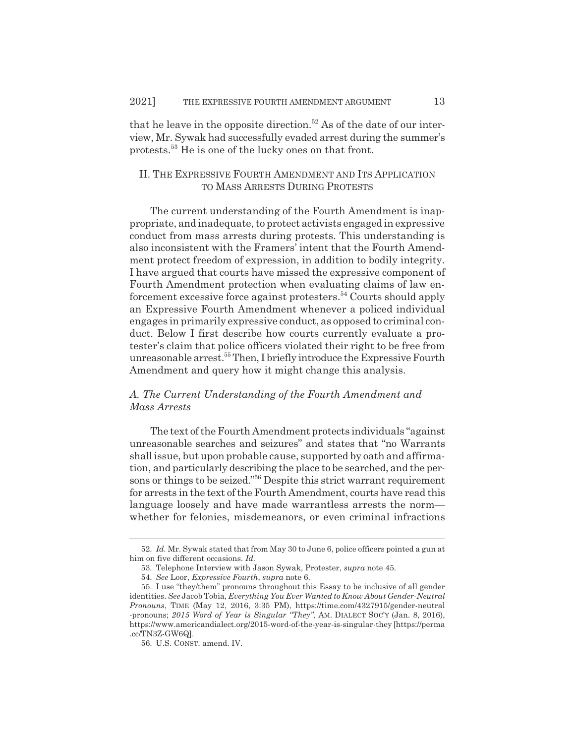that he leave in the opposite direction.<sup>52</sup> As of the date of our interview, Mr. Sywak had successfully evaded arrest during the summer's protests.53 He is one of the lucky ones on that front.

#### II. THE EXPRESSIVE FOURTH AMENDMENT AND ITS APPLICATION TO MASS ARRESTS DURING PROTESTS

The current understanding of the Fourth Amendment is inappropriate, and inadequate, to protect activists engaged in expressive conduct from mass arrests during protests. This understanding is also inconsistent with the Framers' intent that the Fourth Amendment protect freedom of expression, in addition to bodily integrity. I have argued that courts have missed the expressive component of Fourth Amendment protection when evaluating claims of law enforcement excessive force against protesters.<sup>54</sup> Courts should apply an Expressive Fourth Amendment whenever a policed individual engages in primarily expressive conduct, as opposed to criminal conduct. Below I first describe how courts currently evaluate a protester's claim that police officers violated their right to be free from unreasonable arrest.<sup>55</sup> Then, I briefly introduce the Expressive Fourth Amendment and query how it might change this analysis.

# *A. The Current Understanding of the Fourth Amendment and Mass Arrests*

The text of the Fourth Amendment protects individuals "against unreasonable searches and seizures" and states that "no Warrants shall issue, but upon probable cause, supported by oath and affirmation, and particularly describing the place to be searched, and the persons or things to be seized."56 Despite this strict warrant requirement for arrests in the text of the Fourth Amendment, courts have read this language loosely and have made warrantless arrests the norm whether for felonies, misdemeanors, or even criminal infractions

<sup>52.</sup> *Id.* Mr. Sywak stated that from May 30 to June 6, police officers pointed a gun at him on five different occasions. *Id.*

<sup>53.</sup> Telephone Interview with Jason Sywak, Protester, *supra* note 45.

<sup>54.</sup> *See* Loor, *Expressive Fourth*, *supra* note 6.

<sup>55.</sup> I use "they/them" pronouns throughout this Essay to be inclusive of all gender identities. *See* Jacob Tobia, *Everything You Ever Wanted to Know About Gender-Neutral Pronouns*, TIME (May 12, 2016, 3:35 PM), https://time.com/4327915/gender-neutral -pronouns; *2015 Word of Year is Singular "They"*, AM. DIALECT SOC'Y (Jan. 8, 2016), https://www.americandialect.org/2015-word-of-the-year-is-singular-they [https://perma .cc/TN3Z-GW6Q].

<sup>56.</sup> U.S. CONST. amend. IV.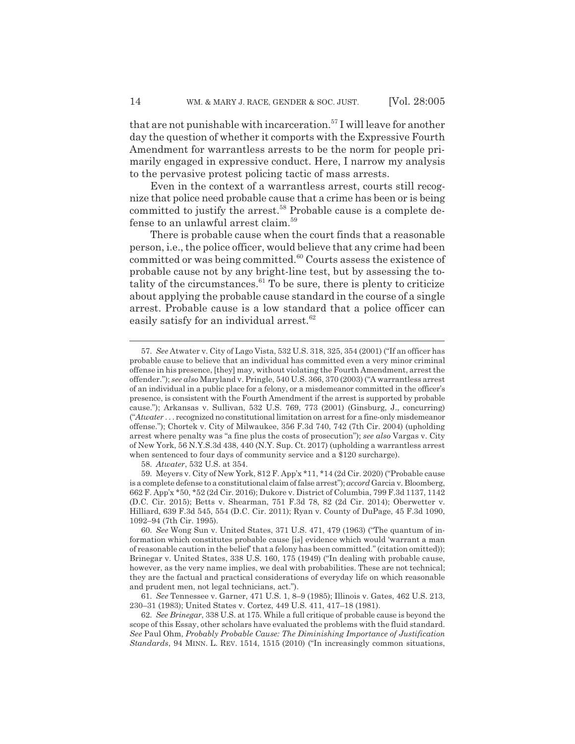that are not punishable with incarceration.<sup>57</sup> I will leave for another day the question of whether it comports with the Expressive Fourth Amendment for warrantless arrests to be the norm for people primarily engaged in expressive conduct. Here, I narrow my analysis to the pervasive protest policing tactic of mass arrests.

Even in the context of a warrantless arrest, courts still recognize that police need probable cause that a crime has been or is being committed to justify the arrest.<sup>58</sup> Probable cause is a complete defense to an unlawful arrest claim.59

There is probable cause when the court finds that a reasonable person, i.e., the police officer, would believe that any crime had been committed or was being committed. $60$  Courts assess the existence of probable cause not by any bright-line test, but by assessing the totality of the circumstances. $61$  To be sure, there is plenty to criticize about applying the probable cause standard in the course of a single arrest. Probable cause is a low standard that a police officer can easily satisfy for an individual arrest.<sup>62</sup>

58. *Atwater*, 532 U.S. at 354.

<sup>57.</sup> *See* Atwater v. City of Lago Vista, 532 U.S. 318, 325, 354 (2001) ("If an officer has probable cause to believe that an individual has committed even a very minor criminal offense in his presence, [they] may, without violating the Fourth Amendment, arrest the offender."); *see also* Maryland v. Pringle, 540 U.S. 366, 370 (2003) ("A warrantless arrest of an individual in a public place for a felony, or a misdemeanor committed in the officer's presence, is consistent with the Fourth Amendment if the arrest is supported by probable cause."); Arkansas v. Sullivan, 532 U.S. 769, 773 (2001) (Ginsburg, J., concurring) ("*Atwater* . . . recognized no constitutional limitation on arrest for a fine-only misdemeanor offense."); Chortek v. City of Milwaukee, 356 F.3d 740, 742 (7th Cir. 2004) (upholding arrest where penalty was "a fine plus the costs of prosecution"); *see also* Vargas v. City of New York, 56 N.Y.S.3d 438, 440 (N.Y. Sup. Ct. 2017) (upholding a warrantless arrest when sentenced to four days of community service and a \$120 surcharge).

<sup>59.</sup> Meyers v. City of New York, 812 F. App'x \*11, \*14 (2d Cir. 2020) ("Probable cause is a complete defense to a constitutional claim of false arrest"); *accord* Garcia v. Bloomberg, 662 F. App'x \*50, \*52 (2d Cir. 2016); Dukore v. District of Columbia, 799 F.3d 1137, 1142 (D.C. Cir. 2015); Betts v. Shearman, 751 F.3d 78, 82 (2d Cir. 2014); Oberwetter v. Hilliard, 639 F.3d 545, 554 (D.C. Cir. 2011); Ryan v. County of DuPage, 45 F.3d 1090, 1092–94 (7th Cir. 1995).

<sup>60.</sup> *See* Wong Sun v. United States, 371 U.S. 471, 479 (1963) ("The quantum of information which constitutes probable cause [is] evidence which would 'warrant a man of reasonable caution in the belief' that a felony has been committed." (citation omitted)); Brinegar v. United States, 338 U.S. 160, 175 (1949) ("In dealing with probable cause, however, as the very name implies, we deal with probabilities. These are not technical; they are the factual and practical considerations of everyday life on which reasonable and prudent men, not legal technicians, act.").

<sup>61.</sup> *See* Tennessee v. Garner, 471 U.S. 1, 8–9 (1985); Illinois v. Gates, 462 U.S. 213, 230–31 (1983); United States v. Cortez, 449 U.S. 411, 417–18 (1981).

<sup>62.</sup> *See Brinegar*, 338 U.S. at 175. While a full critique of probable cause is beyond the scope of this Essay, other scholars have evaluated the problems with the fluid standard. *See* Paul Ohm, *Probably Probable Cause: The Diminishing Importance of Justification Standards*, 94 MINN. L. REV. 1514, 1515 (2010) ("In increasingly common situations,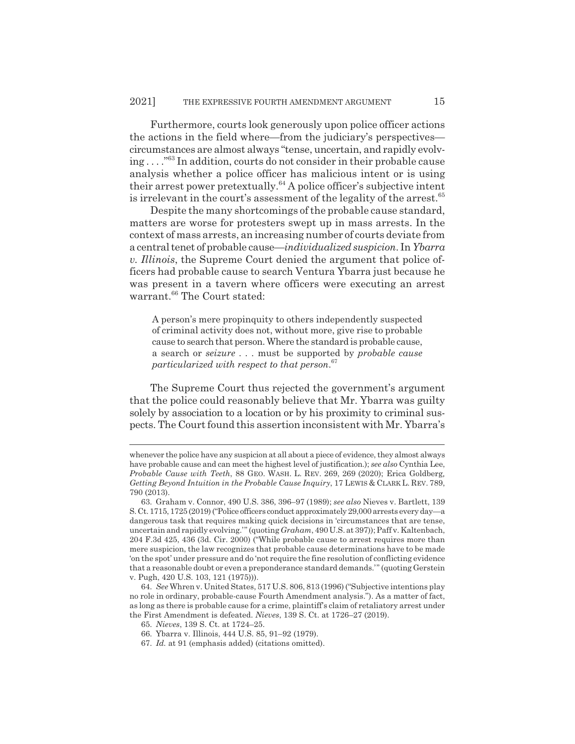Furthermore, courts look generously upon police officer actions the actions in the field where*—*from the judiciary's perspectives circumstances are almost always "tense, uncertain, and rapidly evolving . . . ."63 In addition, courts do not consider in their probable cause analysis whether a police officer has malicious intent or is using their arrest power pretextually.<sup>64</sup> A police officer's subjective intent is irrelevant in the court's assessment of the legality of the arrest. $65$ 

Despite the many shortcomings of the probable cause standard, matters are worse for protesters swept up in mass arrests. In the context of mass arrests, an increasing number of courts deviate from a central tenet of probable cause*—individualized suspicion*. In *Ybarra v. Illinois*, the Supreme Court denied the argument that police officers had probable cause to search Ventura Ybarra just because he was present in a tavern where officers were executing an arrest warrant.<sup>66</sup> The Court stated:

A person's mere propinquity to others independently suspected of criminal activity does not, without more, give rise to probable cause to search that person. Where the standard is probable cause, a search or *seizure . . .* must be supported by *probable cause particularized with respect to that person*. 67

The Supreme Court thus rejected the government's argument that the police could reasonably believe that Mr. Ybarra was guilty solely by association to a location or by his proximity to criminal suspects. The Court found this assertion inconsistent with Mr. Ybarra's

whenever the police have any suspicion at all about a piece of evidence, they almost always have probable cause and can meet the highest level of justification.); *see also* Cynthia Lee, *Probable Cause with Teeth*, 88 GEO. WASH. L. REV. 269, 269 (2020); Erica Goldberg*, Getting Beyond Intuition in the Probable Cause Inquiry*, 17 LEWIS & CLARK L. REV. 789, 790 (2013).

<sup>63.</sup> Graham v. Connor, 490 U.S. 386, 396–97 (1989); *see also* Nieves v. Bartlett, 139 S. Ct. 1715, 1725 (2019) ("Police officers conduct approximately 29,000 arrests every day*—*a dangerous task that requires making quick decisions in 'circumstances that are tense, uncertain and rapidly evolving.'" (quoting *Graham*, 490 U.S. at 397)); Paff v. Kaltenbach, 204 F.3d 425, 436 (3d. Cir. 2000) ("While probable cause to arrest requires more than mere suspicion, the law recognizes that probable cause determinations have to be made 'on the spot' under pressure and do 'not require the fine resolution of conflicting evidence that a reasonable doubt or even a preponderance standard demands.'" (quoting Gerstein v. Pugh, 420 U.S. 103, 121 (1975))).

<sup>64.</sup> *See* Whren v. United States, 517 U.S. 806, 813 (1996) ("Subjective intentions play no role in ordinary, probable-cause Fourth Amendment analysis."). As a matter of fact, as long as there is probable cause for a crime, plaintiff's claim of retaliatory arrest under the First Amendment is defeated. *Nieves*, 139 S. Ct. at 1726–27 (2019).

<sup>65.</sup> *Nieves*, 139 S. Ct. at 1724–25.

<sup>66.</sup> Ybarra v. Illinois, 444 U.S. 85, 91–92 (1979).

<sup>67.</sup> *Id.* at 91 (emphasis added) (citations omitted).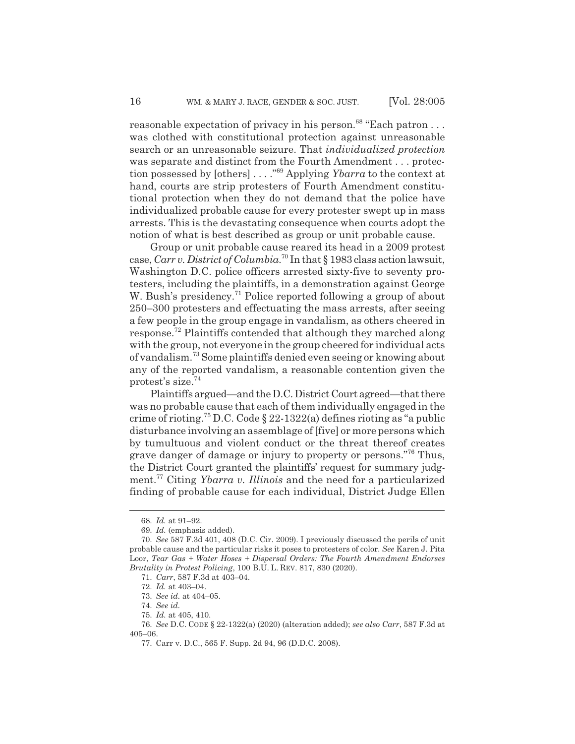reasonable expectation of privacy in his person.<sup>68</sup> "Each patron  $\dots$ was clothed with constitutional protection against unreasonable search or an unreasonable seizure. That *individualized protection* was separate and distinct from the Fourth Amendment . . . protection possessed by [others] . . . ."69 Applying *Ybarra* to the context at hand, courts are strip protesters of Fourth Amendment constitutional protection when they do not demand that the police have individualized probable cause for every protester swept up in mass arrests. This is the devastating consequence when courts adopt the notion of what is best described as group or unit probable cause.

Group or unit probable cause reared its head in a 2009 protest case, *Carr v. District of Columbia*. 70 In that § 1983 class action lawsuit, Washington D.C. police officers arrested sixty-five to seventy protesters, including the plaintiffs, in a demonstration against George W. Bush's presidency.<sup>71</sup> Police reported following a group of about 250–300 protesters and effectuating the mass arrests, after seeing a few people in the group engage in vandalism, as others cheered in response.72 Plaintiffs contended that although they marched along with the group, not everyone in the group cheered for individual acts of vandalism.73 Some plaintiffs denied even seeing or knowing about any of the reported vandalism, a reasonable contention given the protest's size. $74$ 

Plaintiffs argued*—*and the D.C. District Court agreed*—*that there was no probable cause that each of them individually engaged in the crime of rioting.<sup>75</sup> D.C. Code § 22-1322(a) defines rioting as "a public disturbance involving an assemblage of [five] or more persons which by tumultuous and violent conduct or the threat thereof creates grave danger of damage or injury to property or persons."<sup>76</sup> Thus, the District Court granted the plaintiffs' request for summary judgment.77 Citing *Ybarra v. Illinois* and the need for a particularized finding of probable cause for each individual, District Judge Ellen

<sup>68.</sup> *Id.* at 91–92.

<sup>69.</sup> *Id.* (emphasis added).

<sup>70.</sup> *See* 587 F.3d 401, 408 (D.C. Cir. 2009). I previously discussed the perils of unit probable cause and the particular risks it poses to protesters of color. *See* Karen J. Pita Loor, *Tear Gas + Water Hoses + Dispersal Orders: The Fourth Amendment Endorses Brutality in Protest Policing*, 100 B.U. L. REV. 817, 830 (2020).

<sup>71.</sup> *Carr*, 587 F.3d at 403–04.

<sup>72.</sup> *Id.* at 403–04.

<sup>73.</sup> *See id.* at 404–05.

<sup>74.</sup> *See id.*

<sup>75.</sup> *Id.* at 405, 410.

<sup>76.</sup> *See* D.C. CODE § 22-1322(a) (2020) (alteration added); *see also Carr*, 587 F.3d at 405–06.

<sup>77.</sup> Carr v. D.C., 565 F. Supp. 2d 94, 96 (D.D.C. 2008).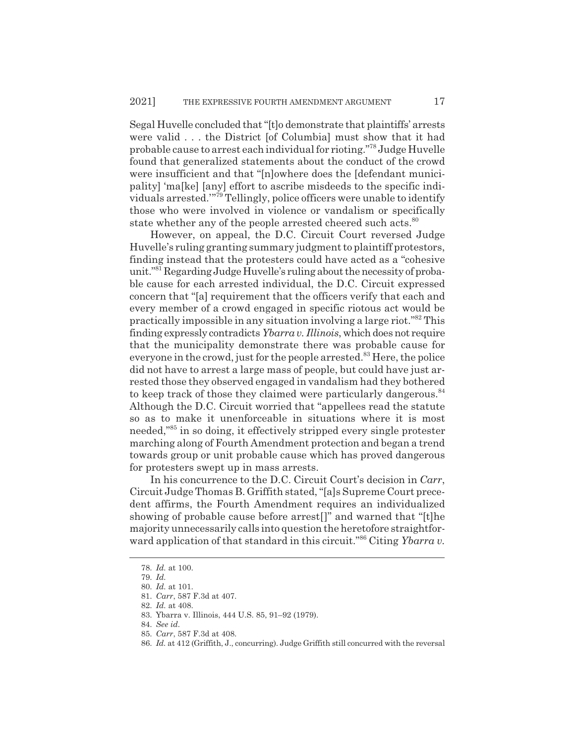Segal Huvelle concluded that "[t]o demonstrate that plaintiffs' arrests were valid . . . the District [of Columbia] must show that it had probable cause to arrest each individual for rioting."78 Judge Huvelle found that generalized statements about the conduct of the crowd were insufficient and that "[n]owhere does the [defendant municipality] 'ma[ke] [any] effort to ascribe misdeeds to the specific individuals arrested.'"79 Tellingly, police officers were unable to identify those who were involved in violence or vandalism or specifically state whether any of the people arrested cheered such acts.<sup>80</sup>

However, on appeal, the D.C. Circuit Court reversed Judge Huvelle's ruling granting summary judgment to plaintiff protestors, finding instead that the protesters could have acted as a "cohesive unit."81 Regarding Judge Huvelle's ruling about the necessity of probable cause for each arrested individual, the D.C. Circuit expressed concern that "[a] requirement that the officers verify that each and every member of a crowd engaged in specific riotous act would be practically impossible in any situation involving a large riot."82 This finding expressly contradicts *Ybarra v. Illinois*, which does not require that the municipality demonstrate there was probable cause for everyone in the crowd, just for the people arrested.<sup>83</sup> Here, the police did not have to arrest a large mass of people, but could have just arrested those they observed engaged in vandalism had they bothered to keep track of those they claimed were particularly dangerous.<sup>84</sup> Although the D.C. Circuit worried that "appellees read the statute so as to make it unenforceable in situations where it is most needed,"85 in so doing, it effectively stripped every single protester marching along of Fourth Amendment protection and began a trend towards group or unit probable cause which has proved dangerous for protesters swept up in mass arrests.

In his concurrence to the D.C. Circuit Court's decision in *Carr*, Circuit Judge Thomas B. Griffith stated, "[a]s Supreme Court precedent affirms, the Fourth Amendment requires an individualized showing of probable cause before arrest[]" and warned that "[t]he majority unnecessarily calls into question the heretofore straightforward application of that standard in this circuit."<sup>86</sup> Citing *Ybarra v*.

<sup>78.</sup> *Id.* at 100.

<sup>79.</sup> *Id.*

<sup>80.</sup> *Id.* at 101.

<sup>81.</sup> *Carr*, 587 F.3d at 407.

<sup>82.</sup> *Id.* at 408.

<sup>83.</sup> Ybarra v. Illinois, 444 U.S. 85, 91–92 (1979).

<sup>84.</sup> *See id.*

<sup>85.</sup> *Carr*, 587 F.3d at 408.

<sup>86.</sup> *Id.* at 412 (Griffith, J., concurring). Judge Griffith still concurred with the reversal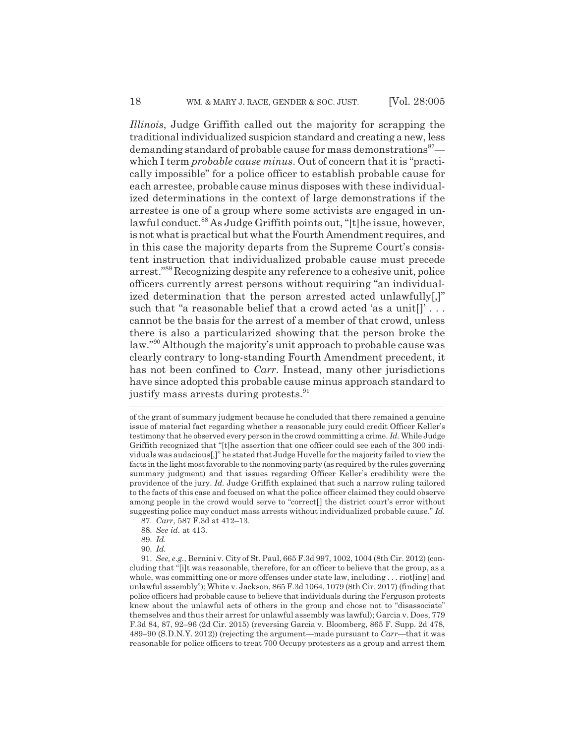*Illinois*, Judge Griffith called out the majority for scrapping the traditional individualized suspicion standard and creating a new, less demanding standard of probable cause for mass demonstrations<sup>87</sup> which I term *probable cause minus*. Out of concern that it is "practically impossible" for a police officer to establish probable cause for each arrestee, probable cause minus disposes with these individualized determinations in the context of large demonstrations if the arrestee is one of a group where some activists are engaged in unlawful conduct.<sup>88</sup> As Judge Griffith points out, "[t]he issue, however, is not what is practical but what the Fourth Amendment requires, and in this case the majority departs from the Supreme Court's consistent instruction that individualized probable cause must precede arrest."89 Recognizing despite any reference to a cohesive unit, police officers currently arrest persons without requiring "an individualized determination that the person arrested acted unlawfully[,]" such that "a reasonable belief that a crowd acted 'as a unit[]'... cannot be the basis for the arrest of a member of that crowd, unless there is also a particularized showing that the person broke the law."90 Although the majority's unit approach to probable cause was clearly contrary to long-standing Fourth Amendment precedent, it has not been confined to *Carr*. Instead, many other jurisdictions have since adopted this probable cause minus approach standard to justify mass arrests during protests.<sup>91</sup>

88. *See id.* at 413.

91. *See, e.g.*, Bernini v. City of St. Paul, 665 F.3d 997, 1002, 1004 (8th Cir. 2012) (concluding that "[i]t was reasonable, therefore, for an officer to believe that the group, as a whole, was committing one or more offenses under state law, including . . . riot[ing] and unlawful assembly"); White v. Jackson, 865 F.3d 1064, 1079 (8th Cir. 2017) (finding that police officers had probable cause to believe that individuals during the Ferguson protests knew about the unlawful acts of others in the group and chose not to "disassociate" themselves and thus their arrest for unlawful assembly was lawful); Garcia v. Does, 779 F.3d 84, 87, 92–96 (2d Cir. 2015) (reversing Garcia v. Bloomberg, 865 F. Supp. 2d 478, 489–90 (S.D.N.Y. 2012)) (rejecting the argument*—*made pursuant to *Carr—*that it was reasonable for police officers to treat 700 Occupy protesters as a group and arrest them

of the grant of summary judgment because he concluded that there remained a genuine issue of material fact regarding whether a reasonable jury could credit Officer Keller's testimony that he observed every person in the crowd committing a crime. *Id.* While Judge Griffith recognized that "[t]he assertion that one officer could see each of the 300 individuals was audacious[,]" he stated that Judge Huvelle for the majority failed to view the facts in the light most favorable to the nonmoving party (as required by the rules governing summary judgment) and that issues regarding Officer Keller's credibility were the providence of the jury. *Id.* Judge Griffith explained that such a narrow ruling tailored to the facts of this case and focused on what the police officer claimed they could observe among people in the crowd would serve to "correct[] the district court's error without suggesting police may conduct mass arrests without individualized probable cause." *Id.* 87. *Carr*, 587 F.3d at 412–13.

<sup>89.</sup> *Id.*

<sup>90.</sup> *Id.*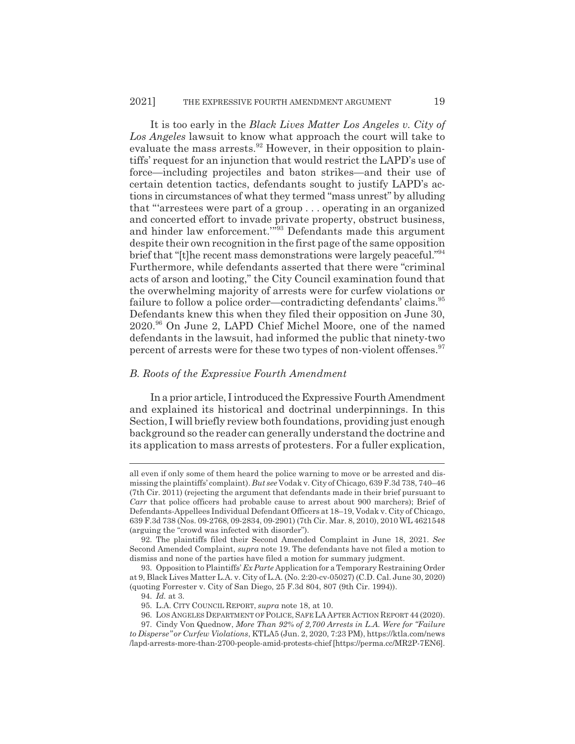It is too early in the *Black Lives Matter Los Angeles v. City of Los Angeles* lawsuit to know what approach the court will take to evaluate the mass arrests.<sup>92</sup> However, in their opposition to plaintiffs' request for an injunction that would restrict the LAPD's use of force*—*including projectiles and baton strikes*—*and their use of certain detention tactics, defendants sought to justify LAPD's actions in circumstances of what they termed "mass unrest" by alluding that "'arrestees were part of a group . . . operating in an organized and concerted effort to invade private property, obstruct business, and hinder law enforcement.'"93 Defendants made this argument despite their own recognition in the first page of the same opposition brief that "[t]he recent mass demonstrations were largely peaceful."94 Furthermore, while defendants asserted that there were "criminal acts of arson and looting," the City Council examination found that the overwhelming majority of arrests were for curfew violations or failure to follow a police order—contradicting defendants' claims.<sup>95</sup> Defendants knew this when they filed their opposition on June 30, 2020.96 On June 2, LAPD Chief Michel Moore, one of the named defendants in the lawsuit, had informed the public that ninety-two percent of arrests were for these two types of non-violent offenses.<sup>97</sup>

#### *B. Roots of the Expressive Fourth Amendment*

In a prior article, I introduced the Expressive Fourth Amendment and explained its historical and doctrinal underpinnings. In this Section, I will briefly review both foundations, providing just enough background so the reader can generally understand the doctrine and its application to mass arrests of protesters. For a fuller explication,

all even if only some of them heard the police warning to move or be arrested and dismissing the plaintiffs' complaint). *But see* Vodak v. City of Chicago, 639 F.3d 738, 740–46 (7th Cir. 2011) (rejecting the argument that defendants made in their brief pursuant to *Carr* that police officers had probable cause to arrest about 900 marchers); Brief of Defendants-Appellees Individual Defendant Officers at 18–19, Vodak v. City of Chicago, 639 F.3d 738 (Nos. 09-2768, 09-2834, 09-2901) (7th Cir. Mar. 8, 2010), 2010 WL 4621548 (arguing the "crowd was infected with disorder").

<sup>92.</sup> The plaintiffs filed their Second Amended Complaint in June 18, 2021. *See* Second Amended Complaint, *supra* note 19. The defendants have not filed a motion to dismiss and none of the parties have filed a motion for summary judgment.

<sup>93.</sup> Opposition to Plaintiffs' *Ex Parte* Application for a Temporary Restraining Order at 9, Black Lives Matter L.A. v. City of L.A. (No. 2:20-cv-05027) (C.D. Cal. June 30, 2020) (quoting Forrester v. City of San Diego, 25 F.3d 804, 807 (9th Cir. 1994)).

<sup>94.</sup> *Id.* at 3.

<sup>95.</sup> L.A. CITY COUNCIL REPORT, *supra* note 18, at 10.

<sup>96.</sup> LOS ANGELES DEPARTMENT OF POLICE, SAFE LA AFTER ACTION REPORT 44 (2020).

<sup>97.</sup> Cindy Von Quednow, *More Than 92% of 2,700 Arrests in L.A. Were for "Failure to Disperse" or Curfew Violations*, KTLA5 (Jun. 2, 2020, 7:23 PM), https://ktla.com/news

<sup>/</sup>lapd-arrests-more-than-2700-people-amid-protests-chief [https://perma.cc/MR2P-7EN6].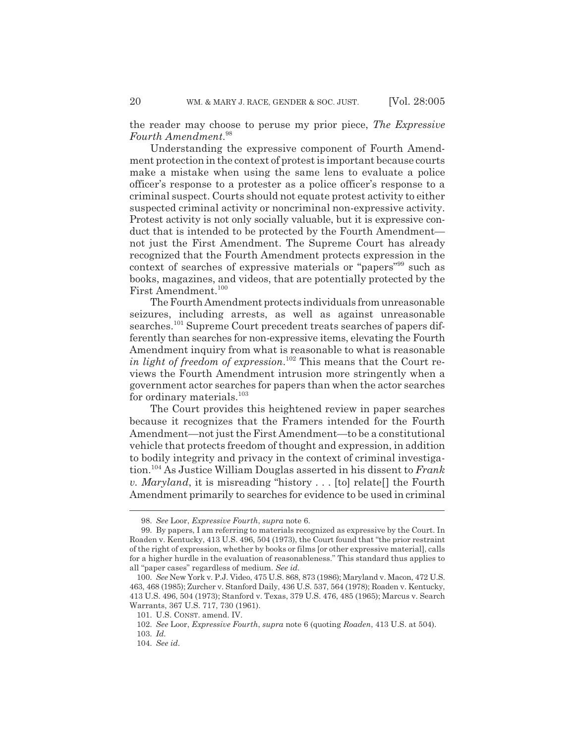the reader may choose to peruse my prior piece, *The Expressive Fourth Amendment*. 98

Understanding the expressive component of Fourth Amendment protection in the context of protest is important because courts make a mistake when using the same lens to evaluate a police officer's response to a protester as a police officer's response to a criminal suspect. Courts should not equate protest activity to either suspected criminal activity or noncriminal non-expressive activity. Protest activity is not only socially valuable, but it is expressive conduct that is intended to be protected by the Fourth Amendment not just the First Amendment. The Supreme Court has already recognized that the Fourth Amendment protects expression in the context of searches of expressive materials or "papers"99 such as books, magazines, and videos, that are potentially protected by the First Amendment.<sup>100</sup>

The Fourth Amendment protects individuals from unreasonable seizures, including arrests, as well as against unreasonable searches.<sup>101</sup> Supreme Court precedent treats searches of papers differently than searches for non-expressive items, elevating the Fourth Amendment inquiry from what is reasonable to what is reasonable *in light of freedom of expression*. 102 This means that the Court reviews the Fourth Amendment intrusion more stringently when a government actor searches for papers than when the actor searches for ordinary materials.<sup>103</sup>

The Court provides this heightened review in paper searches because it recognizes that the Framers intended for the Fourth Amendment*—*not just the First Amendment*—*to be a constitutional vehicle that protects freedom of thought and expression, in addition to bodily integrity and privacy in the context of criminal investigation.104 As Justice William Douglas asserted in his dissent to *Frank v. Maryland*, it is misreading "history . . . [to] relate[] the Fourth Amendment primarily to searches for evidence to be used in criminal

<sup>98.</sup> *See* Loor, *Expressive Fourth*, *supra* note 6.

<sup>99.</sup> By papers, I am referring to materials recognized as expressive by the Court. In Roaden v. Kentucky, 413 U.S. 496, 504 (1973), the Court found that "the prior restraint of the right of expression, whether by books or films [or other expressive material], calls for a higher hurdle in the evaluation of reasonableness." This standard thus applies to all "paper cases" regardless of medium. *See id.*

<sup>100.</sup> *See* New York v. P.J. Video, 475 U.S. 868, 873 (1986); Maryland v. Macon, 472 U.S. 463, 468 (1985); Zurcher v. Stanford Daily, 436 U.S. 537, 564 (1978); Roaden v. Kentucky, 413 U.S. 496, 504 (1973); Stanford v. Texas, 379 U.S. 476, 485 (1965); Marcus v. Search Warrants, 367 U.S. 717, 730 (1961).

<sup>101.</sup> U.S. CONST. amend. IV.

<sup>102.</sup> *See* Loor, *Expressive Fourth*, *supra* note 6 (quoting *Roaden*, 413 U.S. at 504).

<sup>103.</sup> *Id.*

<sup>104.</sup> *See id.*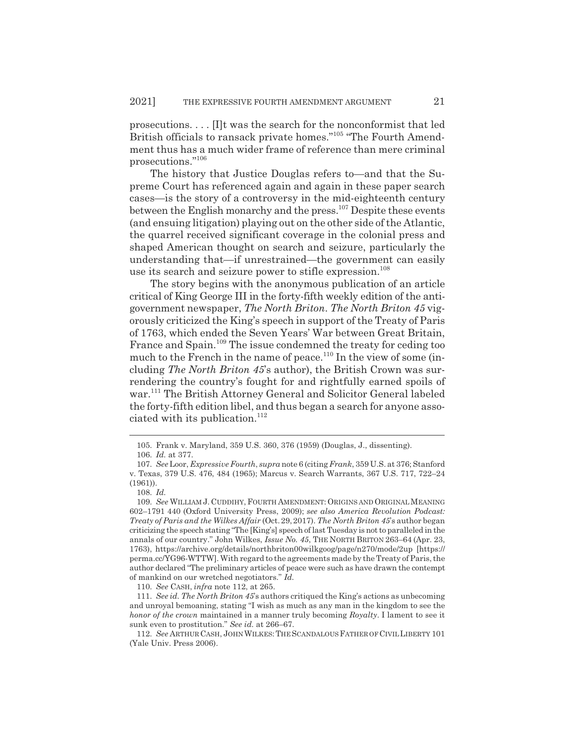prosecutions. . . . [I]t was the search for the nonconformist that led British officials to ransack private homes."<sup>105</sup> "The Fourth Amendment thus has a much wider frame of reference than mere criminal prosecutions."106

The history that Justice Douglas refers to*—*and that the Supreme Court has referenced again and again in these paper search cases*—*is the story of a controversy in the mid-eighteenth century between the English monarchy and the press.<sup>107</sup> Despite these events (and ensuing litigation) playing out on the other side of the Atlantic, the quarrel received significant coverage in the colonial press and shaped American thought on search and seizure, particularly the understanding that*—*if unrestrained*—*the government can easily use its search and seizure power to stifle expression.<sup>108</sup>

The story begins with the anonymous publication of an article critical of King George III in the forty-fifth weekly edition of the antigovernment newspaper, *The North Briton*. *The North Briton 45* vigorously criticized the King's speech in support of the Treaty of Paris of 1763, which ended the Seven Years' War between Great Britain, France and Spain.<sup>109</sup> The issue condemned the treaty for ceding too much to the French in the name of peace.<sup>110</sup> In the view of some (including *The North Briton 45*'s author), the British Crown was surrendering the country's fought for and rightfully earned spoils of war.111 The British Attorney General and Solicitor General labeled the forty-fifth edition libel, and thus began a search for anyone associated with its publication.<sup>112</sup>

<sup>105.</sup> Frank v. Maryland, 359 U.S. 360, 376 (1959) (Douglas, J., dissenting).

<sup>106.</sup> *Id.* at 377.

<sup>107.</sup> *See* Loor, *Expressive Fourth*, *supra* note 6 (citing *Frank*, 359 U.S. at 376; Stanford v. Texas, 379 U.S. 476, 484 (1965); Marcus v. Search Warrants, 367 U.S. 717, 722–24 (1961)).

<sup>108.</sup> *Id.*

<sup>109.</sup> See WILLIAM J. CUDDIHY, FOURTH AMENDMENT: ORIGINS AND ORIGINAL MEANING 602–1791 440 (Oxford University Press, 2009); *see also America Revolution Podcast: Treaty of Paris and the Wilkes Affair* (Oct. 29, 2017). *The North Briton 45*'s author began criticizing the speech stating "The [King's] speech of last Tuesday is not to paralleled in the annals of our country." John Wilkes, *Issue No. 45*, THE NORTH BRITON 263–64 (Apr. 23, 1763), https://archive.org/details/northbriton00wilkgoog/page/n270/mode/2up [https:// perma.cc/YG96-WTTW]. With regard to the agreements made by the Treaty of Paris, the author declared "The preliminary articles of peace were such as have drawn the contempt of mankind on our wretched negotiators." *Id.*

<sup>110.</sup> *See* CASH, *infra* note 112, at 265.

<sup>111.</sup> *See id. The North Briton 45*'s authors critiqued the King's actions as unbecoming and unroyal bemoaning, stating "I wish as much as any man in the kingdom to see the *honor of the crown* maintained in a manner truly becoming *Royalty*. I lament to see it sunk even to prostitution." *See id.* at 266–67.

<sup>112.</sup> *See* ARTHUR CASH, JOHNWILKES:THE SCANDALOUSFATHER OF CIVILLIBERTY 101 (Yale Univ. Press 2006).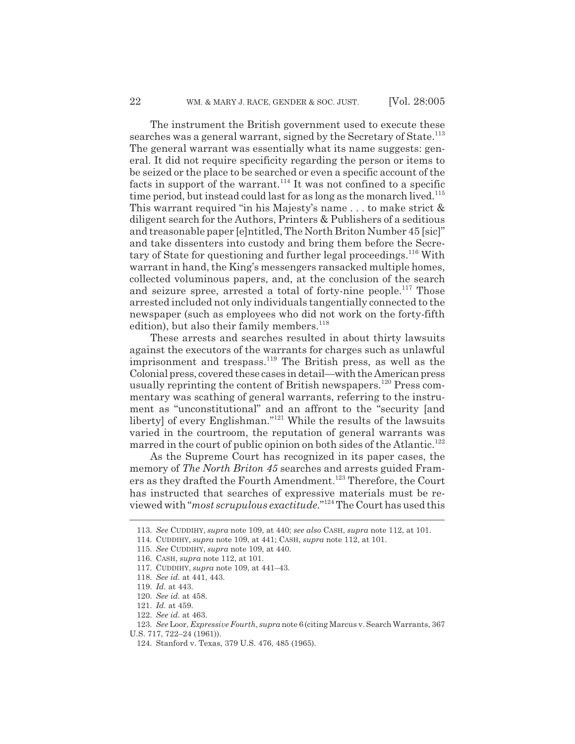The instrument the British government used to execute these searches was a general warrant, signed by the Secretary of State.<sup>113</sup> The general warrant was essentially what its name suggests: general. It did not require specificity regarding the person or items to be seized or the place to be searched or even a specific account of the facts in support of the warrant.<sup>114</sup> It was not confined to a specific time period, but instead could last for as long as the monarch lived.<sup>115</sup> This warrant required "in his Majesty's name . . . to make strict & diligent search for the Authors, Printers & Publishers of a seditious and treasonable paper [e]ntitled, The North Briton Number 45 [sic]" and take dissenters into custody and bring them before the Secretary of State for questioning and further legal proceedings.116 With warrant in hand, the King's messengers ransacked multiple homes, collected voluminous papers, and, at the conclusion of the search and seizure spree, arrested a total of forty-nine people.<sup>117</sup> Those arrested included not only individuals tangentially connected to the newspaper (such as employees who did not work on the forty-fifth edition), but also their family members. $118$ 

These arrests and searches resulted in about thirty lawsuits against the executors of the warrants for charges such as unlawful imprisonment and trespass.<sup>119</sup> The British press, as well as the Colonial press, covered these cases in detail*—*with the American press usually reprinting the content of British newspapers.<sup>120</sup> Press commentary was scathing of general warrants, referring to the instrument as "unconstitutional" and an affront to the "security [and liberty] of every Englishman."121 While the results of the lawsuits varied in the courtroom, the reputation of general warrants was marred in the court of public opinion on both sides of the Atlantic.<sup>122</sup>

As the Supreme Court has recognized in its paper cases, the memory of *The North Briton 45* searches and arrests guided Framers as they drafted the Fourth Amendment.<sup>123</sup> Therefore, the Court has instructed that searches of expressive materials must be reviewed with "*most scrupulous exactitude.*" 124 The Court has used this

<sup>113.</sup> *See* CUDDIHY, *supra* note 109, at 440; *see also* CASH, *supra* note 112, at 101.

<sup>114.</sup> CUDDIHY, *supra* note 109, at 441; CASH, *supra* note 112, at 101.

<sup>115.</sup> *See* CUDDIHY, *supra* note 109, at 440.

<sup>116.</sup> CASH, *supra* note 112, at 101.

<sup>117.</sup> CUDDIHY, *supra* note 109, at 441–43.

<sup>118.</sup> *See id.* at 441, 443.

<sup>119.</sup> *Id.* at 443.

<sup>120.</sup> *See id.* at 458.

<sup>121.</sup> *Id.* at 459.

<sup>122.</sup> *See id.* at 463.

<sup>123.</sup> *See* Loor, *Expressive Fourth*, *supra* note 6(citing Marcus v. Search Warrants, 367

U.S. 717, 722–24 (1961)).

<sup>124.</sup> Stanford v. Texas, 379 U.S. 476, 485 (1965).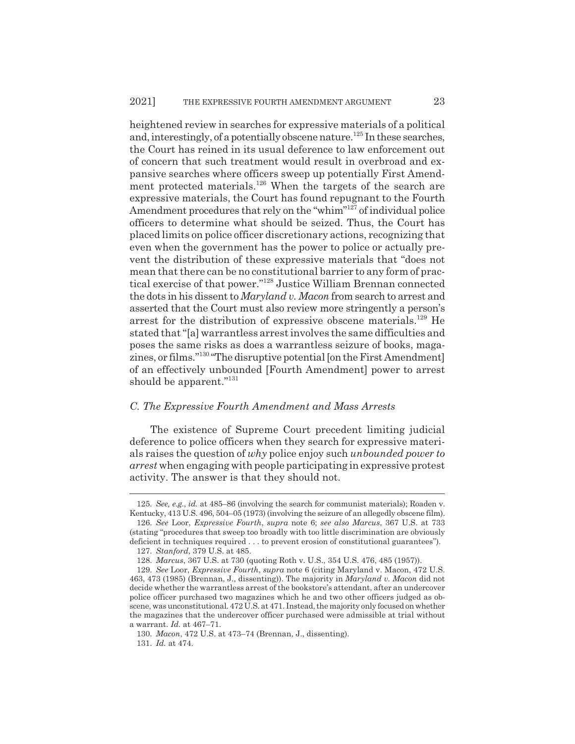heightened review in searches for expressive materials of a political and, interestingly, of a potentially obscene nature.<sup>125</sup> In these searches, the Court has reined in its usual deference to law enforcement out of concern that such treatment would result in overbroad and expansive searches where officers sweep up potentially First Amendment protected materials.<sup>126</sup> When the targets of the search are expressive materials, the Court has found repugnant to the Fourth Amendment procedures that rely on the "whim"<sup>127</sup> of individual police officers to determine what should be seized. Thus, the Court has placed limits on police officer discretionary actions, recognizing that even when the government has the power to police or actually prevent the distribution of these expressive materials that "does not mean that there can be no constitutional barrier to any form of practical exercise of that power."128 Justice William Brennan connected the dots in his dissent to *Maryland v. Macon* from search to arrest and asserted that the Court must also review more stringently a person's arrest for the distribution of expressive obscene materials.<sup>129</sup> He stated that "[a] warrantless arrest involves the same difficulties and poses the same risks as does a warrantless seizure of books, magazines, or films."130 "The disruptive potential [on the First Amendment] of an effectively unbounded [Fourth Amendment] power to arrest should be apparent."<sup>131</sup>

#### *C. The Expressive Fourth Amendment and Mass Arrests*

The existence of Supreme Court precedent limiting judicial deference to police officers when they search for expressive materials raises the question of *why* police enjoy such *unbounded power to arrest* when engaging with people participating in expressive protest activity. The answer is that they should not.

<sup>125.</sup> *See, e.g.*, *id.* at 485–86 (involving the search for communist materials); Roaden v. Kentucky, 413 U.S. 496, 504–05 (1973) (involving the seizure of an allegedly obscene film).

<sup>126.</sup> *See* Loor, *Expressive Fourth*, *supra* note 6; *see also Marcus*, 367 U.S. at 733 (stating "procedures that sweep too broadly with too little discrimination are obviously deficient in techniques required . . . to prevent erosion of constitutional guarantees").

<sup>127.</sup> *Stanford*, 379 U.S. at 485.

<sup>128.</sup> *Marcus*, 367 U.S. at 730 (quoting Roth v. U.S., 354 U.S. 476, 485 (1957)).

<sup>129.</sup> *See* Loor, *Expressive Fourth*, *supra* note 6 (citing Maryland v. Macon, 472 U.S. 463, 473 (1985) (Brennan, J., dissenting)). The majority in *Maryland v. Macon* did not decide whether the warrantless arrest of the bookstore's attendant, after an undercover police officer purchased two magazines which he and two other officers judged as obscene, was unconstitutional. 472 U.S. at 471. Instead, the majority only focused on whether the magazines that the undercover officer purchased were admissible at trial without a warrant. *Id.* at 467–71.

<sup>130.</sup> *Macon*, 472 U.S. at 473–74 (Brennan, J., dissenting). 131. *Id.* at 474.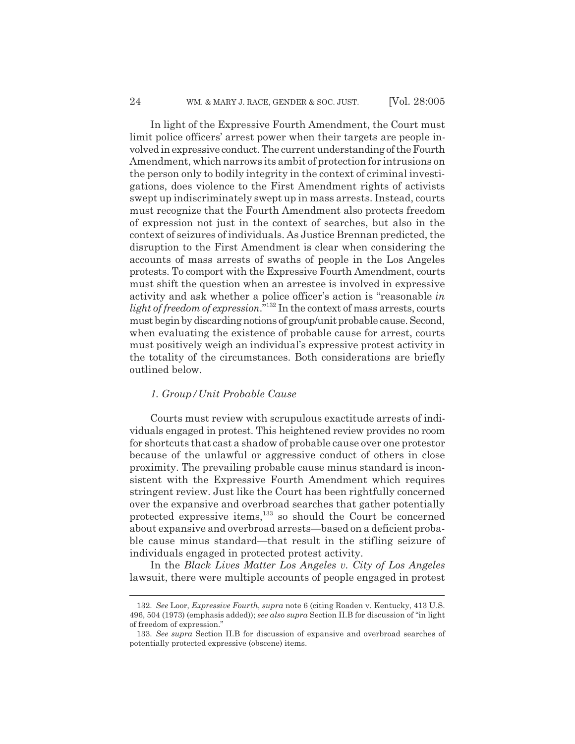In light of the Expressive Fourth Amendment, the Court must limit police officers' arrest power when their targets are people involved in expressive conduct. The current understanding of the Fourth Amendment, which narrows its ambit of protection for intrusions on the person only to bodily integrity in the context of criminal investigations, does violence to the First Amendment rights of activists swept up indiscriminately swept up in mass arrests. Instead, courts must recognize that the Fourth Amendment also protects freedom of expression not just in the context of searches, but also in the context of seizures of individuals. As Justice Brennan predicted, the disruption to the First Amendment is clear when considering the accounts of mass arrests of swaths of people in the Los Angeles protests. To comport with the Expressive Fourth Amendment, courts must shift the question when an arrestee is involved in expressive activity and ask whether a police officer's action is "reasonable *in light of freedom of expression*."132 In the context of mass arrests, courts must begin by discarding notions of group/unit probable cause. Second, when evaluating the existence of probable cause for arrest, courts must positively weigh an individual's expressive protest activity in the totality of the circumstances. Both considerations are briefly outlined below.

#### *1. Group/Unit Probable Cause*

Courts must review with scrupulous exactitude arrests of individuals engaged in protest. This heightened review provides no room for shortcuts that cast a shadow of probable cause over one protestor because of the unlawful or aggressive conduct of others in close proximity. The prevailing probable cause minus standard is inconsistent with the Expressive Fourth Amendment which requires stringent review. Just like the Court has been rightfully concerned over the expansive and overbroad searches that gather potentially protected expressive items,133 so should the Court be concerned about expansive and overbroad arrests*—*based on a deficient probable cause minus standard*—*that result in the stifling seizure of individuals engaged in protected protest activity.

In the *Black Lives Matter Los Angeles v. City of Los Angeles* lawsuit, there were multiple accounts of people engaged in protest

<sup>132.</sup> *See* Loor, *Expressive Fourth*, *supra* note 6 (citing Roaden v. Kentucky, 413 U.S. 496, 504 (1973) (emphasis added)); *see also supra* Section II.B for discussion of "in light of freedom of expression."

<sup>133.</sup> *See supra* Section II.B for discussion of expansive and overbroad searches of potentially protected expressive (obscene) items.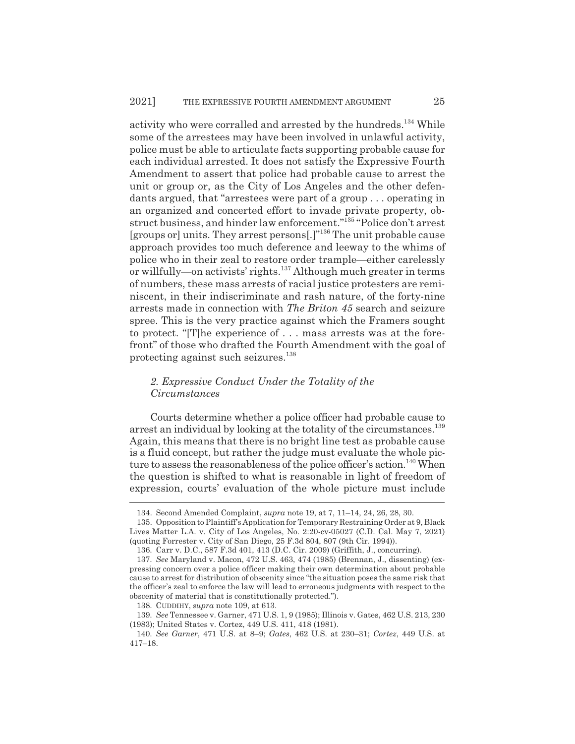activity who were corralled and arrested by the hundreds.<sup>134</sup> While some of the arrestees may have been involved in unlawful activity, police must be able to articulate facts supporting probable cause for each individual arrested. It does not satisfy the Expressive Fourth Amendment to assert that police had probable cause to arrest the unit or group or, as the City of Los Angeles and the other defendants argued, that "arrestees were part of a group . . . operating in an organized and concerted effort to invade private property, obstruct business, and hinder law enforcement."135 "Police don't arrest [groups or] units. They arrest persons[.]"136 The unit probable cause approach provides too much deference and leeway to the whims of police who in their zeal to restore order trample*—*either carelessly or willfully*—*on activists' rights.137 Although much greater in terms of numbers, these mass arrests of racial justice protesters are reminiscent, in their indiscriminate and rash nature, of the forty-nine arrests made in connection with *The Briton 45* search and seizure spree. This is the very practice against which the Framers sought to protect. "[T]he experience of . . . mass arrests was at the forefront" of those who drafted the Fourth Amendment with the goal of protecting against such seizures.<sup>138</sup>

### *2. Expressive Conduct Under the Totality of the Circumstances*

Courts determine whether a police officer had probable cause to arrest an individual by looking at the totality of the circumstances.<sup>139</sup> Again, this means that there is no bright line test as probable cause is a fluid concept, but rather the judge must evaluate the whole picture to assess the reasonableness of the police officer's action.<sup>140</sup> When the question is shifted to what is reasonable in light of freedom of expression, courts' evaluation of the whole picture must include

<sup>134.</sup> Second Amended Complaint, *supra* note 19, at 7, 11–14, 24, 26, 28, 30.

<sup>135.</sup> Opposition to Plaintiff's Application for Temporary Restraining Order at 9, Black Lives Matter L.A. v. City of Los Angeles, No. 2:20-cv-05027 (C.D. Cal. May 7, 2021) (quoting Forrester v. City of San Diego, 25 F.3d 804, 807 (9th Cir. 1994)).

<sup>136.</sup> Carr v. D.C., 587 F.3d 401, 413 (D.C. Cir. 2009) (Griffith, J., concurring).

<sup>137.</sup> *See* Maryland v. Macon, 472 U.S. 463, 474 (1985) (Brennan, J., dissenting) (expressing concern over a police officer making their own determination about probable cause to arrest for distribution of obscenity since "the situation poses the same risk that the officer's zeal to enforce the law will lead to erroneous judgments with respect to the obscenity of material that is constitutionally protected.").

<sup>138.</sup> CUDDIHY, *supra* note 109, at 613.

<sup>139.</sup> *See* Tennessee v. Garner, 471 U.S. 1, 9 (1985); Illinois v. Gates, 462 U.S. 213, 230 (1983); United States v. Cortez, 449 U.S. 411, 418 (1981).

<sup>140.</sup> *See Garner*, 471 U.S. at 8–9; *Gates*, 462 U.S. at 230–31; *Cortez*, 449 U.S. at 417–18.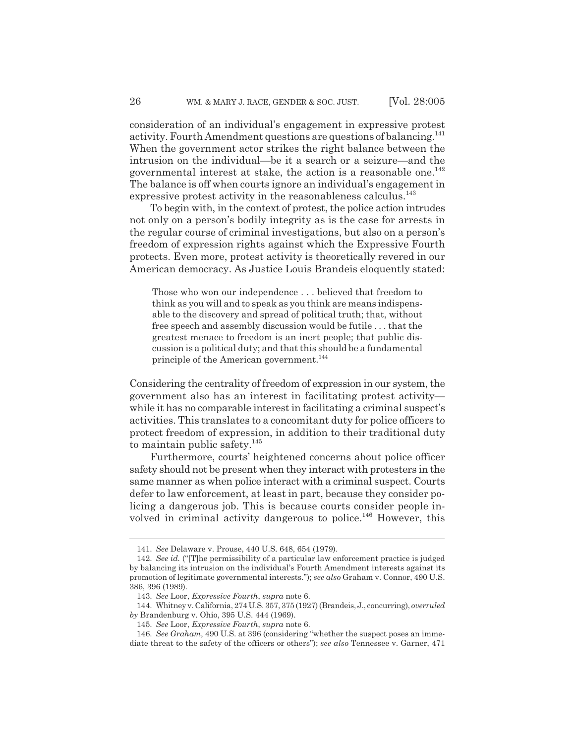consideration of an individual's engagement in expressive protest activity. Fourth Amendment questions are questions of balancing.<sup>141</sup> When the government actor strikes the right balance between the intrusion on the individual*—*be it a search or a seizure*—*and the governmental interest at stake, the action is a reasonable one.<sup>142</sup> The balance is off when courts ignore an individual's engagement in expressive protest activity in the reasonableness calculus.<sup>143</sup>

To begin with, in the context of protest, the police action intrudes not only on a person's bodily integrity as is the case for arrests in the regular course of criminal investigations, but also on a person's freedom of expression rights against which the Expressive Fourth protects. Even more, protest activity is theoretically revered in our American democracy. As Justice Louis Brandeis eloquently stated:

Those who won our independence . . . believed that freedom to think as you will and to speak as you think are means indispensable to the discovery and spread of political truth; that, without free speech and assembly discussion would be futile . . . that the greatest menace to freedom is an inert people; that public discussion is a political duty; and that this should be a fundamental principle of the American government.<sup>144</sup>

Considering the centrality of freedom of expression in our system, the government also has an interest in facilitating protest activity while it has no comparable interest in facilitating a criminal suspect's activities. This translates to a concomitant duty for police officers to protect freedom of expression, in addition to their traditional duty to maintain public safety. $145$ 

Furthermore, courts' heightened concerns about police officer safety should not be present when they interact with protesters in the same manner as when police interact with a criminal suspect. Courts defer to law enforcement, at least in part, because they consider policing a dangerous job. This is because courts consider people involved in criminal activity dangerous to police.<sup>146</sup> However, this

<sup>141.</sup> *See* Delaware v. Prouse, 440 U.S. 648, 654 (1979).

<sup>142.</sup> *See id.* ("[T]he permissibility of a particular law enforcement practice is judged by balancing its intrusion on the individual's Fourth Amendment interests against its promotion of legitimate governmental interests."); *see also* Graham v. Connor, 490 U.S. 386, 396 (1989).

<sup>143.</sup> *See* Loor, *Expressive Fourth*, *supra* note 6.

<sup>144.</sup> Whitney v. California, 274 U.S. 357, 375 (1927) (Brandeis, J., concurring), *overruled by* Brandenburg v. Ohio, 395 U.S. 444 (1969).

<sup>145.</sup> *See* Loor, *Expressive Fourth*, *supra* note 6.

<sup>146.</sup> *See Graham*, 490 U.S. at 396 (considering "whether the suspect poses an immediate threat to the safety of the officers or others"); *see also* Tennessee v. Garner, 471